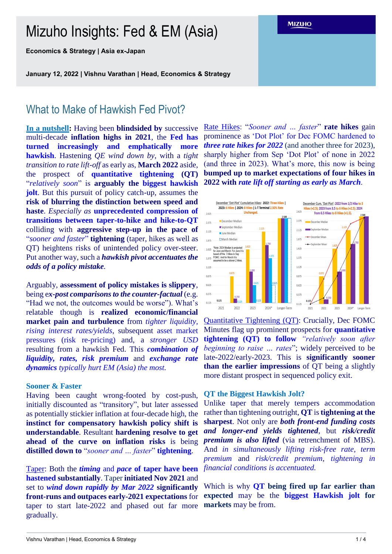# Mizuho Insights: Fed & EM (Asia)

**Economics & Strategy | Asia ex-Japan**

**January 12, 2022 | Vishnu Varathan | Head, Economics & Strategy**

## What to Make of Hawkish Fed Pivot?

**In a nutshell:** Having been **blindsided by** successive multi-decade **inflation highs in 2021**, the **Fed has turned increasingly and emphatically more hawkish**. Hastening *QE wind down by*, with a *tight transition to rate lift-off* as early as, **March 2022** aside, the prospect of **quantitative tightening (QT)** "*relatively soon*" is **arguably the biggest hawkish jolt**. But this pursuit of policy catch-up, assumes the **risk of blurring the distinction between speed and haste**. *Especially as* **unprecedented compression of transitions between taper-to-hike and hike-to-QT**  colliding with **aggressive step-up in the pace of**  "*sooner and faster*" **tightening** (taper, hikes as well as QT) heightens risks of unintended policy over-steer. Put another way, such a *hawkish pivot accentuates the odds of a policy mistake.*

Arguably, **assessment of policy mistakes is slippery**, being e*x-post comparisons to the counter-factual* (e.g. "Had we not, the outcomes would be worse"). What's relatable though is **realized economic/financial market pain and turbulence** from *tighter liquidity, rising interest rates/yields*, subsequent asset market pressures (risk re-pricing) and, a *stronger USD* resulting from a hawkish Fed. This *combination of liquidity, rates, risk premium* and *exchange rate dynamics typically hurt EM (Asia) the most.*

#### **Sooner & Faster**

Having been caught wrong-footed by cost-push, initially discounted as "transitory", but later assessed as potentially stickier inflation at four-decade high, the **instinct for compensatory hawkish policy shift is understandable**. Resultant **hardening resolve to get ahead of the curve on inflation risks** is being **distilled down to** "*sooner and … faster*" **tightening**.

Taper: Both the *timing* and *pace* **of taper have been hastened substantially**. Taper **initiated Nov 2021** and set to *wind down rapidly by Mar 2022* **significantly front-runs and outpaces early-2021 expectations** for taper to start late-2022 and phased out far more gradually.

Rate Hikes: "*Sooner and … faster*" **rate hikes** gain prominence as 'Dot Plot' for Dec FOMC hardened to *three rate hikes for 2022* (and another three for 2023), sharply higher from Sep 'Dot Plot' of none in 2022 (and three in 2023). What's more, this now is being **bumped up to market expectations of four hikes in 2022 with** *rate lift off starting as early as March*.



Quantitative Tightening (QT): Crucially, Dec FOMC Minutes flag up prominent prospects for **quantitative tightening (QT) to follow** *"relatively soon after beginning to raise … rates*"; widely perceived to be late-2022/early-2023. This is **significantly sooner than the earlier impressions** of QT being a slightly more distant prospect in sequenced policy exit.

#### **QT the Biggest Hawkish Jolt?**

Unlike taper that merely tempers accommodation rather than tightening outright, **QT** is **tightening at the sharpest**. Not only are *both front-end funding costs and longer-end yields tightened*, but *risk/credit premium is also lifted* (via retrenchment of MBS). And *in simultaneously lifting risk-free rate, term premium* and *risk/credit premium, tightening in financial conditions is accentuated.*

Which is why **QT being fired up far earlier than expected** may be the **biggest Hawkish jolt for markets** may be from.

Vishnu Varathan | Head, Economics & Strategy 1 / 4

**MIZUHO**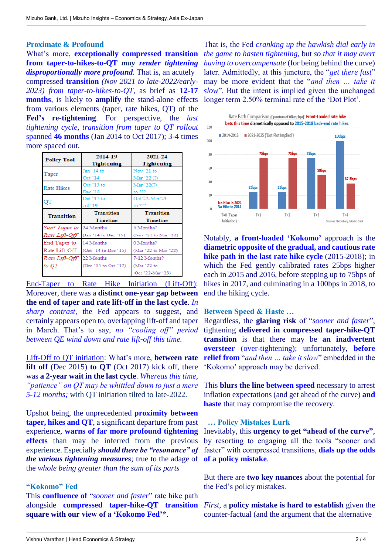## **Proximate & Profound**

What's more, **exceptionally compressed transition from taper-to-hikes-to-QT** *may render tightening disproportionally more profound.* That is, an acutely compressed **transition** *(Nov 2021 to late-2022/early-2023) from taper-to-hikes-to-QT,* as brief as **12-17 months***,* is likely to **amplify** the stand-alone effects from various elements (taper, rate hikes, QT) of the **Fed's re-tightening**. For perspective, the *last tightening cycle, transition from taper to QT rollout*  spanned **46 months** (Jan 2014 to Oct 2017); 3-4 times more spaced out.

| <b>Policy Tool</b> | 2014-19              | 2021-24              |
|--------------------|----------------------|----------------------|
|                    | <b>Tightening</b>    | <b>Tightening</b>    |
| Taper              | Jan '14 to           | Nov '21 to           |
|                    | Oct '14              | Mar '22 (?)          |
| <b>Rate Hikes</b>  | Oct '15 to           | Mar '22(?)           |
|                    | Dec <sup>6</sup> 18  | to ???               |
| OТ                 | Oct '17 to           | Oct'22-Mar'23        |
|                    | Jul *19              | to ???               |
| <b>Transition</b>  | <b>Transition</b>    | <b>Transition</b>    |
|                    | <b>Timeline</b>      | <b>Timeline</b>      |
| Start Taper to     | 24 Months            | 5 Months?            |
| Rate Lift-Off      | (Jan '14 to Dec '15) | (Nov '21 to Mar '22) |
| End Taper to       | 14 Months            | 0 Months?            |
| Rate Lift-Off      | (Oct '14 to Dec '15) | (Mar '22 to Mar '22) |
| Rate Lift-Off      | 22 Months            | 7-12 Months?         |
| to OT              | (Dec '15 to Oct '17) | (Mar '22 to          |
|                    |                      | Oct '22-Mar '23)     |

End-Taper to Rate Hike Initiation (Lift-Off): Moreover, there was a **distinct one-year gap between the end of taper and rate lift-off in the last cycle**. *In sharp contrast,* the Fed appears to suggest, and certainly appears open to, overlapping lift-off and taper in March. That's to say, *no "cooling off" period between QE wind down and rate lift-off this time.*

Lift-Off to QT initiation: What's more, **between rate lift off** (Dec 2015) **to QT** (Oct 2017) kick off, there was **a 2-year wait in the last cycle**. *Whereas this time, "patience" on QT may be whittled down to just a mere 5-12 months;* with QT initiation tilted to late-2022.

Upshot being, the unprecedented **proximity between taper, hikes and QT**, a significant departure from past experience, **warns of far more profound tightening effects** than may be inferred from the previous experience. Especially *should there be "resonance" of the various tightening measures;* true to the adage of the *whole being greater than the sum of its parts*

#### **"Kokomo" Fed**

This **confluence of** "*sooner and faster*" rate hike path alongside **compressed taper-hike-QT transition** *First,* a **policy mistake is hard to establish** given the **square with our view of a 'Kokomo Fed'\***.

That is, the Fed *cranking up the hawkish dial early in the game to hasten tightening,* but *so that it may avert having to overcompensate* (for being behind the curve) later. Admittedly, at this juncture, the "*get there fast*" may be more evident that the "*and then … take it slow*". But the intent is implied given the unchanged longer term 2.50% terminal rate of the 'Dot Plot'.



Notably, **a front-loaded 'Kokomo'** approach is the **diametric opposite of the gradual, and cautious rate hike path in the last rate hike cycle** (2015-2018); in which the Fed gently calibrated rates 25bps higher each in 2015 and 2016, before stepping up to 75bps of hikes in 2017, and culminating in a 100bps in 2018, to end the hiking cycle.

#### **Between Speed & Haste …**

Regardless, the **glaring risk** of "*sooner and faster*", tightening **delivered in compressed taper-hike-QT transition** is that there may be **an inadvertent oversteer** (over-tightening); unfortunately, **before relief from** "*and then … take it slow*" embedded in the 'Kokomo' approach may be derived.

This **blurs the line between speed** necessary to arrest inflation expectations (and get ahead of the curve) **and haste** that may compromise the recovery.

#### **… Policy Mistakes Lurk**

Inevitably, this **urgency to get "ahead of the curve"**, by resorting to engaging all the tools "sooner and faster" with compressed transitions, **dials up the odds of a policy mistake**.

But there are **two key nuances** about the potential for the Fed's policy mistakes.

counter-factual (and the argument that the alternative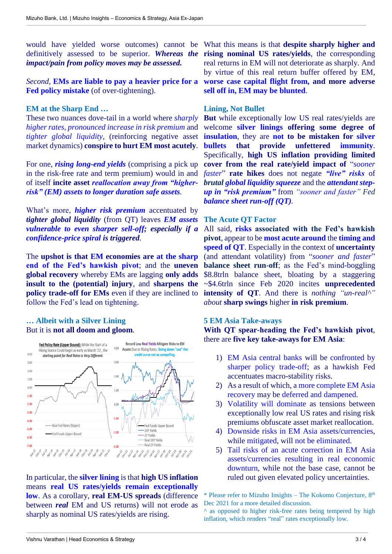*impact/pain from policy moves may be assessed.*

*Second,* **EMs are liable to pay a heavier price for a Fed policy mistake** (of over-tightening).

#### **EM at the Sharp End …**

These two nuances dove-tail in a world where *sharply higher rates, pronounced increase in risk premium* and *tighter global liquidity,* (reinforcing negative asset market dynamics) **conspire to hurt EM most acutely**.

For one, *rising long-end yields* (comprising a pick up in the risk-free rate and term premium) would in and of itself **incite asset** *reallocation away from "higherrisk" (EM) assets to longer duration safe assets.*

What's more, *higher risk premium* accentuated by *tighter global liquidity* (from QT) leaves *EM assets vulnerable to even sharper sell-off; especially if a confidence-price spiral is triggered.*

The **upshot is that EM economies are at the sharp end of the Fed's hawkish pivot**; and the **uneven global recovery** whereby EMs are lagging **only adds insult to the (potential) injury**, and **sharpens the policy trade-off for EMs** even if they are inclined to follow the Fed's lead on tightening.

#### **… Albeit with a Silver Lining** But it is **not all doom and gloom**.



In particular, the **silver lining** is that **high US inflation**  means **real US rates/yields remain exceptionally low**. As a corollary, **real EM-US spreads** (difference between *real* EM and US returns) will not erode as sharply as nominal US rates/yields are rising.

would have yielded worse outcomes) cannot be What this means is that **despite sharply higher and**  definitively assessed to be superior. *Whereas the*  **rising nominal US rates/yields**, the corresponding real returns in EM will not deteriorate as sharply. And by virtue of this real return buffer offered by EM, **worse case capital flight from, and more adverse sell off in, EM may be blunted**.

### **Lining, Not Bullet**

**But** while exceptionally low US real rates/yields are welcome **silver linings offering some degree of insulation**, they are **not to be mistaken for silver bullets that provide unfettered immunity**. Specifically, **high US inflation providing limited cover from the real rate/yield impact of** "*sooner faster*" **rate hikes** does not negate *"live" risks* of *brutal global liquidity squeeze* and the *attendant stepup in "risk premium"* from *"sooner and faster" Fed balance sheet run-off (QT).*

#### **The Acute QT Factor**

All said, **risks associated with the Fed's hawkish pivot***,* appear to be **most acute around** the **timing and speed of QT**. Especially in the context of **uncertainty** (and attendant volatility) from "*sooner and faster*" **balance sheet run-off**; as the Fed's mind-boggling \$8.8trln balance sheet, bloating by a staggering ~\$4.6trln since Feb 2020 incites **unprecedented intensity of QT**. And there is *nothing "un-real^" about* **sharp swings** higher **in risk premium**.

#### **5 EM Asia Take-aways**

**With QT spear-heading the Fed's hawkish pivot**, there are **five key take-aways for EM Asia**:

- 1) EM Asia central banks will be confronted by sharper policy trade-off; as a hawkish Fed accentuates macro-stability risks.
- 2) As a result of which, a more complete EM Asia recovery may be deferred and dampened.
- 3) Volatility will dominate as tensions between exceptionally low real US rates and rising risk premiums obfuscate asset market reallocation.
- 4) Downside risks in EM Asia assets/currencies, while mitigated, will not be eliminated.
- 5) Tail risks of an acute correction in EM Asia assets/currencies resulting in real economic downturn, while not the base case, cannot be ruled out given elevated policy uncertainties.

\* Please refer to Mizuho Insights – The Kokomo Conjecture, 8th Dec 2021 for a more detailed discussion.

 $\land$  as opposed to higher risk-free rates being tempered by high inflation, which renders "real" rates exceptionally low.